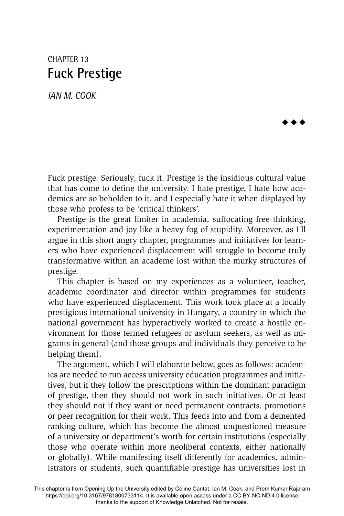# CHAPTER 13 **Fuck Prestige**

*IAN M. COOK*

Fuck prestige. Seriously, fuck it. Prestige is the insidious cultural value that has come to define the university. I hate prestige, I hate how academics are so beholden to it, and I especially hate it when displayed by those who profess to be 'critical thinkers'.

 $\blacklozenge$  $\blacklozenge$  $\blacklozenge$ 

Prestige is the great limiter in academia, suffocating free thinking, experimentation and joy like a heavy fog of stupidity. Moreover, as I'll argue in this short angry chapter, programmes and initiatives for learners who have experienced displacement will struggle to become truly transformative within an academe lost within the murky structures of prestige.

This chapter is based on my experiences as a volunteer, teacher, academic coordinator and director within programmes for students who have experienced displacement. This work took place at a locally prestigious international university in Hungary, a country in which the national government has hyperactively worked to create a hostile environment for those termed refugees or asylum seekers, as well as migrants in general (and those groups and individuals they perceive to be helping them).

The argument, which I will elaborate below, goes as follows: academics are needed to run access university education programmes and initiatives, but if they follow the prescriptions within the dominant paradigm of prestige, then they should not work in such initiatives. Or at least they should not if they want or need permanent contracts, promotions or peer recognition for their work. This feeds into and from a demented ranking culture, which has become the almost unquestioned measure of a university or department's worth for certain institutions (especially those who operate within more neoliberal contexts, either nationally or globally). While manifesting itself differently for academics, administrators or students, such quantifiable prestige has universities lost in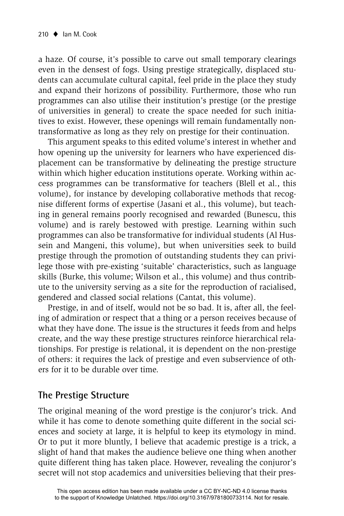a haze. Of course, it's possible to carve out small temporary clearings even in the densest of fogs. Using prestige strategically, displaced students can accumulate cultural capital, feel pride in the place they study and expand their horizons of possibility. Furthermore, those who run programmes can also utilise their institution's prestige (or the prestige of universities in general) to create the space needed for such initiatives to exist. However, these openings will remain fundamentally nontransformative as long as they rely on prestige for their continuation.

This argument speaks to this edited volume's interest in whether and how opening up the university for learners who have experienced displacement can be transformative by delineating the prestige structure within which higher education institutions operate. Working within access programmes can be transformative for teachers (Blell et al., this volume), for instance by developing collaborative methods that recognise different forms of expertise (Jasani et al., this volume), but teaching in general remains poorly recognised and rewarded (Bunescu, this volume) and is rarely bestowed with prestige. Learning within such programmes can also be transformative for individual students (Al Hussein and Mangeni, this volume), but when universities seek to build prestige through the promotion of outstanding students they can privilege those with pre-existing 'suitable' characteristics, such as language skills (Burke, this volume; Wilson et al., this volume) and thus contribute to the university serving as a site for the reproduction of racialised, gendered and classed social relations (Cantat, this volume).

Prestige, in and of itself, would not be so bad. It is, after all, the feeling of admiration or respect that a thing or a person receives because of what they have done. The issue is the structures it feeds from and helps create, and the way these prestige structures reinforce hierarchical relationships. For prestige is relational, it is dependent on the non-prestige of others: it requires the lack of prestige and even subservience of others for it to be durable over time.

## **The Prestige Structure**

The original meaning of the word prestige is the conjuror's trick. And while it has come to denote something quite different in the social sciences and society at large, it is helpful to keep its etymology in mind. Or to put it more bluntly, I believe that academic prestige is a trick, a slight of hand that makes the audience believe one thing when another quite different thing has taken place. However, revealing the conjuror's secret will not stop academics and universities believing that their pres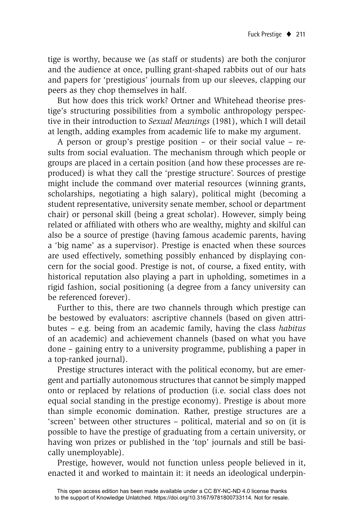tige is worthy, because we (as staff or students) are both the conjuror and the audience at once, pulling grant-shaped rabbits out of our hats and papers for 'prestigious' journals from up our sleeves, clapping our peers as they chop themselves in half.

But how does this trick work? Ortner and Whitehead theorise prestige's structuring possibilities from a symbolic anthropology perspective in their introduction to *Sexual Meanings* (1981), which I will detail at length, adding examples from academic life to make my argument.

A person or group's prestige position – or their social value – results from social evaluation. The mechanism through which people or groups are placed in a certain position (and how these processes are reproduced) is what they call the 'prestige structure'. Sources of prestige might include the command over material resources (winning grants, scholarships, negotiating a high salary), political might (becoming a student representative, university senate member, school or department chair) or personal skill (being a great scholar). However, simply being related or affiliated with others who are wealthy, mighty and skilful can also be a source of prestige (having famous academic parents, having a 'big name' as a supervisor). Prestige is enacted when these sources are used effectively, something possibly enhanced by displaying concern for the social good. Prestige is not, of course, a fixed entity, with historical reputation also playing a part in upholding, sometimes in a rigid fashion, social positioning (a degree from a fancy university can be referenced forever).

Further to this, there are two channels through which prestige can be bestowed by evaluators: ascriptive channels (based on given attributes – e.g. being from an academic family, having the class *habitus* of an academic) and achievement channels (based on what you have done – gaining entry to a university programme, publishing a paper in a top-ranked journal).

Prestige structures interact with the political economy, but are emergent and partially autonomous structures that cannot be simply mapped onto or replaced by relations of production (i.e. social class does not equal social standing in the prestige economy). Prestige is about more than simple economic domination. Rather, prestige structures are a 'screen' between other structures – political, material and so on (it is possible to have the prestige of graduating from a certain university, or having won prizes or published in the 'top' journals and still be basically unemployable).

Prestige, however, would not function unless people believed in it, enacted it and worked to maintain it: it needs an ideological underpin-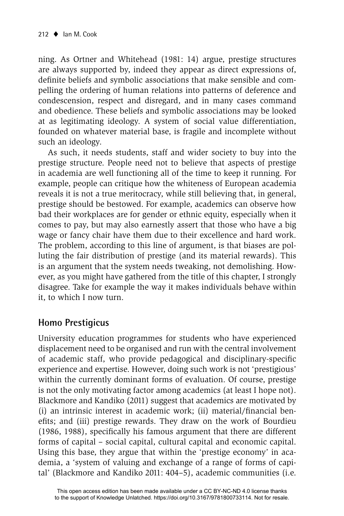ning. As Ortner and Whitehead (1981: 14) argue, prestige structures are always supported by, indeed they appear as direct expressions of, definite beliefs and symbolic associations that make sensible and compelling the ordering of human relations into patterns of deference and condescension, respect and disregard, and in many cases command and obedience. These beliefs and symbolic associations may be looked at as legitimating ideology. A system of social value differentiation, founded on whatever material base, is fragile and incomplete without such an ideology.

As such, it needs students, staff and wider society to buy into the prestige structure. People need not to believe that aspects of prestige in academia are well functioning all of the time to keep it running. For example, people can critique how the whiteness of European academia reveals it is not a true meritocracy, while still believing that, in general, prestige should be bestowed. For example, academics can observe how bad their workplaces are for gender or ethnic equity, especially when it comes to pay, but may also earnestly assert that those who have a big wage or fancy chair have them due to their excellence and hard work. The problem, according to this line of argument, is that biases are polluting the fair distribution of prestige (and its material rewards). This is an argument that the system needs tweaking, not demolishing. However, as you might have gathered from the title of this chapter, I strongly disagree. Take for example the way it makes individuals behave within it, to which I now turn.

## **Homo Prestigicus**

University education programmes for students who have experienced displacement need to be organised and run with the central involvement of academic staff, who provide pedagogical and disciplinary-specific experience and expertise. However, doing such work is not 'prestigious' within the currently dominant forms of evaluation. Of course, prestige is not the only motivating factor among academics (at least I hope not). Blackmore and Kandiko (2011) suggest that academics are motivated by (i) an intrinsic interest in academic work; (ii) material/financial benefits; and (iii) prestige rewards. They draw on the work of Bourdieu (1986, 1988), specifically his famous argument that there are different forms of capital – social capital, cultural capital and economic capital. Using this base, they argue that within the 'prestige economy' in academia, a 'system of valuing and exchange of a range of forms of capital' (Blackmore and Kandiko 2011: 404–5), academic communities (i.e.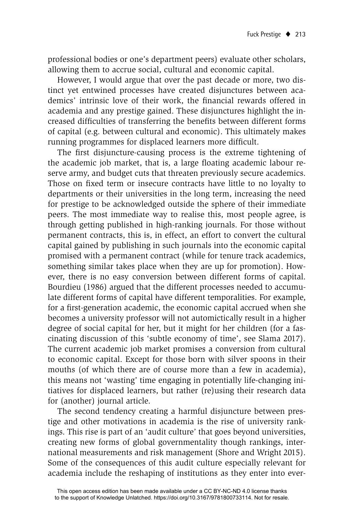professional bodies or one's department peers) evaluate other scholars, allowing them to accrue social, cultural and economic capital.

However, I would argue that over the past decade or more, two distinct yet entwined processes have created disjunctures between academics' intrinsic love of their work, the financial rewards offered in academia and any prestige gained. These disjunctures highlight the increased difficulties of transferring the benefits between different forms of capital (e.g. between cultural and economic). This ultimately makes running programmes for displaced learners more difficult.

The first disjuncture-causing process is the extreme tightening of the academic job market, that is, a large floating academic labour reserve army, and budget cuts that threaten previously secure academics. Those on fixed term or insecure contracts have little to no loyalty to departments or their universities in the long term, increasing the need for prestige to be acknowledged outside the sphere of their immediate peers. The most immediate way to realise this, most people agree, is through getting published in high-ranking journals. For those without permanent contracts, this is, in effect, an effort to convert the cultural capital gained by publishing in such journals into the economic capital promised with a permanent contract (while for tenure track academics, something similar takes place when they are up for promotion). However, there is no easy conversion between different forms of capital. Bourdieu (1986) argued that the different processes needed to accumulate different forms of capital have different temporalities. For example, for a first-generation academic, the economic capital accrued when she becomes a university professor will not automictically result in a higher degree of social capital for her, but it might for her children (for a fascinating discussion of this 'subtle economy of time', see Slama 2017). The current academic job market promises a conversion from cultural to economic capital. Except for those born with silver spoons in their mouths (of which there are of course more than a few in academia), this means not 'wasting' time engaging in potentially life-changing initiatives for displaced learners, but rather (re)using their research data for (another) journal article.

The second tendency creating a harmful disjuncture between prestige and other motivations in academia is the rise of university rankings. This rise is part of an 'audit culture' that goes beyond universities, creating new forms of global governmentality though rankings, international measurements and risk management (Shore and Wright 2015). Some of the consequences of this audit culture especially relevant for academia include the reshaping of institutions as they enter into ever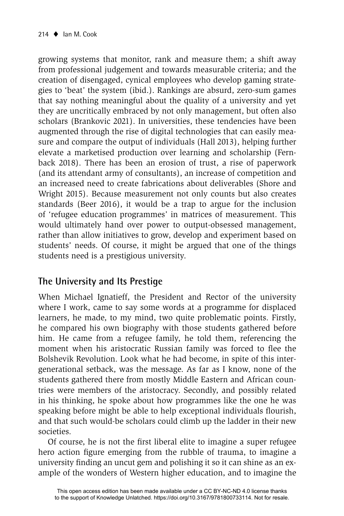growing systems that monitor, rank and measure them; a shift away from professional judgement and towards measurable criteria; and the creation of disengaged, cynical employees who develop gaming strategies to 'beat' the system (ibid.). Rankings are absurd, zero-sum games that say nothing meaningful about the quality of a university and yet they are uncritically embraced by not only management, but often also scholars (Brankovic 2021). In universities, these tendencies have been augmented through the rise of digital technologies that can easily measure and compare the output of individuals (Hall 2013), helping further elevate a marketised production over learning and scholarship (Fernback 2018). There has been an erosion of trust, a rise of paperwork (and its attendant army of consultants), an increase of competition and an increased need to create fabrications about deliverables (Shore and Wright 2015). Because measurement not only counts but also creates standards (Beer 2016), it would be a trap to argue for the inclusion of 'refugee education programmes' in matrices of measurement. This would ultimately hand over power to output-obsessed management, rather than allow initiatives to grow, develop and experiment based on students' needs. Of course, it might be argued that one of the things students need is a prestigious university.

# **The University and Its Prestige**

When Michael Ignatieff, the President and Rector of the university where I work, came to say some words at a programme for displaced learners, he made, to my mind, two quite problematic points. Firstly, he compared his own biography with those students gathered before him. He came from a refugee family, he told them, referencing the moment when his aristocratic Russian family was forced to flee the Bolshevik Revolution. Look what he had become, in spite of this intergenerational setback, was the message. As far as I know, none of the students gathered there from mostly Middle Eastern and African countries were members of the aristocracy. Secondly, and possibly related in his thinking, he spoke about how programmes like the one he was speaking before might be able to help exceptional individuals flourish, and that such would-be scholars could climb up the ladder in their new societies.

Of course, he is not the first liberal elite to imagine a super refugee hero action figure emerging from the rubble of trauma, to imagine a university finding an uncut gem and polishing it so it can shine as an example of the wonders of Western higher education, and to imagine the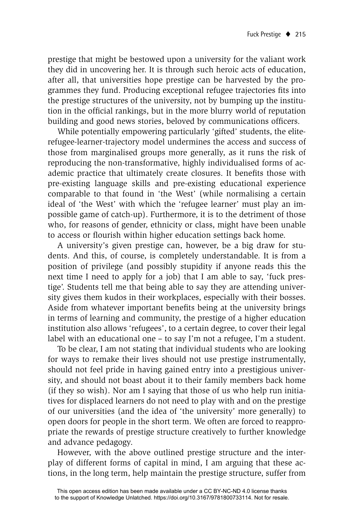prestige that might be bestowed upon a university for the valiant work they did in uncovering her. It is through such heroic acts of education, after all, that universities hope prestige can be harvested by the programmes they fund. Producing exceptional refugee trajectories fits into the prestige structures of the university, not by bumping up the institution in the official rankings, but in the more blurry world of reputation building and good news stories, beloved by communications officers.

While potentially empowering particularly 'gifted' students, the eliterefugee-learner-trajectory model undermines the access and success of those from marginalised groups more generally, as it runs the risk of reproducing the non-transformative, highly individualised forms of academic practice that ultimately create closures. It benefits those with pre-existing language skills and pre-existing educational experience comparable to that found in 'the West' (while normalising a certain ideal of 'the West' with which the 'refugee learner' must play an impossible game of catch-up). Furthermore, it is to the detriment of those who, for reasons of gender, ethnicity or class, might have been unable to access or flourish within higher education settings back home.

A university's given prestige can, however, be a big draw for students. And this, of course, is completely understandable. It is from a position of privilege (and possibly stupidity if anyone reads this the next time I need to apply for a job) that I am able to say, 'fuck prestige'. Students tell me that being able to say they are attending university gives them kudos in their workplaces, especially with their bosses. Aside from whatever important benefits being at the university brings in terms of learning and community, the prestige of a higher education institution also allows 'refugees', to a certain degree, to cover their legal label with an educational one – to say I'm not a refugee, I'm a student.

To be clear, I am not stating that individual students who are looking for ways to remake their lives should not use prestige instrumentally, should not feel pride in having gained entry into a prestigious university, and should not boast about it to their family members back home (if they so wish). Nor am I saying that those of us who help run initiatives for displaced learners do not need to play with and on the prestige of our universities (and the idea of 'the university' more generally) to open doors for people in the short term. We often are forced to reappropriate the rewards of prestige structure creatively to further knowledge and advance pedagogy.

However, with the above outlined prestige structure and the interplay of different forms of capital in mind, I am arguing that these actions, in the long term, help maintain the prestige structure, suffer from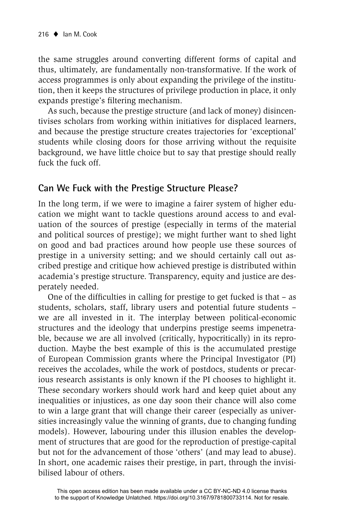the same struggles around converting different forms of capital and thus, ultimately, are fundamentally non-transformative. If the work of access programmes is only about expanding the privilege of the institution, then it keeps the structures of privilege production in place, it only expands prestige's filtering mechanism.

As such, because the prestige structure (and lack of money) disincentivises scholars from working within initiatives for displaced learners, and because the prestige structure creates trajectories for 'exceptional' students while closing doors for those arriving without the requisite background, we have little choice but to say that prestige should really fuck the fuck off.

### **Can We Fuck with the Prestige Structure Please?**

In the long term, if we were to imagine a fairer system of higher education we might want to tackle questions around access to and evaluation of the sources of prestige (especially in terms of the material and political sources of prestige); we might further want to shed light on good and bad practices around how people use these sources of prestige in a university setting; and we should certainly call out ascribed prestige and critique how achieved prestige is distributed within academia's prestige structure. Transparency, equity and justice are desperately needed.

One of the difficulties in calling for prestige to get fucked is that  $-$  as students, scholars, staff, library users and potential future students – we are all invested in it. The interplay between political-economic structures and the ideology that underpins prestige seems impenetrable, because we are all involved (critically, hypocritically) in its reproduction. Maybe the best example of this is the accumulated prestige of European Commission grants where the Principal Investigator (PI) receives the accolades, while the work of postdocs, students or precarious research assistants is only known if the PI chooses to highlight it. These secondary workers should work hard and keep quiet about any inequalities or injustices, as one day soon their chance will also come to win a large grant that will change their career (especially as universities increasingly value the winning of grants, due to changing funding models). However, labouring under this illusion enables the development of structures that are good for the reproduction of prestige-capital but not for the advancement of those 'others' (and may lead to abuse). In short, one academic raises their prestige, in part, through the invisibilised labour of others.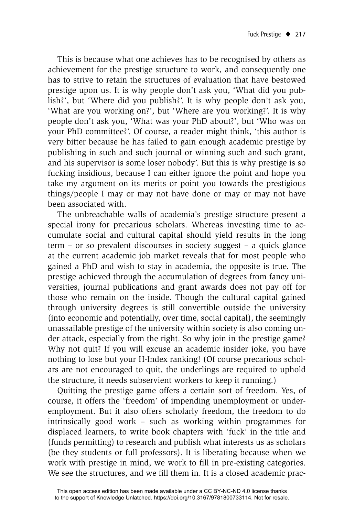This is because what one achieves has to be recognised by others as achievement for the prestige structure to work, and consequently one has to strive to retain the structures of evaluation that have bestowed prestige upon us. It is why people don't ask you, 'What did you publish?', but 'Where did you publish?'. It is why people don't ask you, 'What are you working on?', but 'Where are you working?'. It is why people don't ask you, 'What was your PhD about?', but 'Who was on your PhD committee?'. Of course, a reader might think, 'this author is very bitter because he has failed to gain enough academic prestige by publishing in such and such journal or winning such and such grant, and his supervisor is some loser nobody'. But this is why prestige is so fucking insidious, because I can either ignore the point and hope you take my argument on its merits or point you towards the prestigious things/people I may or may not have done or may or may not have been associated with.

The unbreachable walls of academia's prestige structure present a special irony for precarious scholars. Whereas investing time to accumulate social and cultural capital should yield results in the long term – or so prevalent discourses in society suggest – a quick glance at the current academic job market reveals that for most people who gained a PhD and wish to stay in academia, the opposite is true. The prestige achieved through the accumulation of degrees from fancy universities, journal publications and grant awards does not pay off for those who remain on the inside. Though the cultural capital gained through university degrees is still convertible outside the university (into economic and potentially, over time, social capital), the seemingly unassailable prestige of the university within society is also coming under attack, especially from the right. So why join in the prestige game? Why not quit? If you will excuse an academic insider joke, you have nothing to lose but your H-Index ranking! (Of course precarious scholars are not encouraged to quit, the underlings are required to uphold the structure, it needs subservient workers to keep it running.)

Quitting the prestige game offers a certain sort of freedom. Yes, of course, it offers the 'freedom' of impending unemployment or underemployment. But it also offers scholarly freedom, the freedom to do intrinsically good work – such as working within programmes for displaced learners, to write book chapters with 'fuck' in the title and (funds permitting) to research and publish what interests us as scholars (be they students or full professors). It is liberating because when we work with prestige in mind, we work to fill in pre-existing categories. We see the structures, and we fill them in. It is a closed academic prac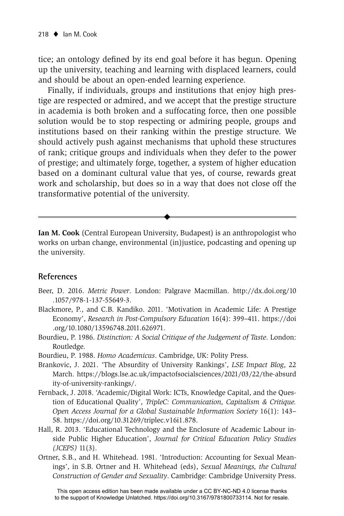tice; an ontology defined by its end goal before it has begun. Opening up the university, teaching and learning with displaced learners, could and should be about an open-ended learning experience.

Finally, if individuals, groups and institutions that enjoy high prestige are respected or admired, and we accept that the prestige structure in academia is both broken and a suffocating force, then one possible solution would be to stop respecting or admiring people, groups and institutions based on their ranking within the prestige structure. We should actively push against mechanisms that uphold these structures of rank; critique groups and individuals when they defer to the power of prestige; and ultimately forge, together, a system of higher education based on a dominant cultural value that yes, of course, rewards great work and scholarship, but does so in a way that does not close off the transformative potential of the university.

**Ian M. Cook** (Central European University, Budapest) is an anthropologist who works on urban change, environmental (in)justice, podcasting and opening up the university.

 $\blacklozenge$ 

#### **References**

- Beer, D. 2016. *Metric Power*. London: Palgrave Macmillan. http://dx.doi.org/10 .1057/978-1-137-55649-3.
- Blackmore, P., and C.B. Kandiko. 2011. 'Motivation in Academic Life: A Prestige Economy', *Research in Post-Compulsory Education* 16(4): 399–411. https://doi .org/10.1080/13596748.2011.626971.
- Bourdieu, P. 1986. *Distinction: A Social Critique of the Judgement of Taste*. London: Routledge.
- Bourdieu, P. 1988. *Homo Academicus*. Cambridge, UK: Polity Press.
- Brankovic, J. 2021. 'The Absurdity of University Rankings', *LSE Impact Blog*, 22 March. https://blogs.lse.ac.uk/impactofsocialsciences/2021/03/22/the-absurd ity-of-university-rankings/.
- Fernback, J. 2018. 'Academic/Digital Work: ICTs, Knowledge Capital, and the Question of Educational Quality', *TripleC: Communication, Capitalism & Critique. Open Access Journal for a Global Sustainable Information Society* 16(1): 143– 58. https://doi.org/10.31269/triplec.v16i1.878.
- Hall, R. 2013. 'Educational Technology and the Enclosure of Academic Labour inside Public Higher Education', *Journal for Critical Education Policy Studies (JCEPS)* 11(3).
- Ortner, S.B., and H. Whitehead. 1981. 'Introduction: Accounting for Sexual Meanings', in S.B. Ortner and H. Whitehead (eds), *Sexual Meanings, the Cultural Construction of Gender and Sexuality*. Cambridge: Cambridge University Press.

This open access edition has been made available under a CC BY-NC-ND 4.0 license thanks to the support of Knowledge Unlatched. https://doi.org/10.3167/9781800733114. Not for resale.